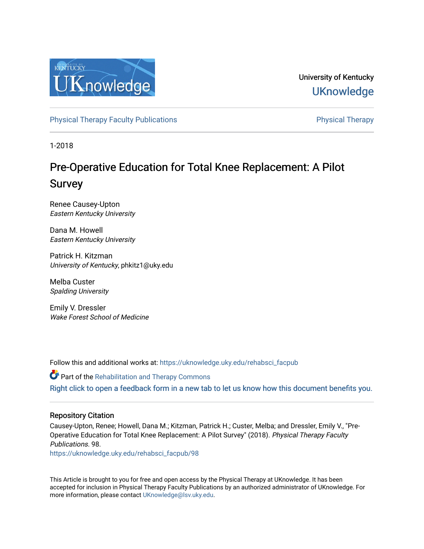

University of Kentucky **UKnowledge** 

[Physical Therapy Faculty Publications](https://uknowledge.uky.edu/rehabsci_facpub) **Physical Therapy** Physical Therapy

1-2018

# Pre-Operative Education for Total Knee Replacement: A Pilot Survey

Renee Causey-Upton Eastern Kentucky University

Dana M. Howell Eastern Kentucky University

Patrick H. Kitzman University of Kentucky, phkitz1@uky.edu

Melba Custer Spalding University

Emily V. Dressler Wake Forest School of Medicine

Follow this and additional works at: [https://uknowledge.uky.edu/rehabsci\\_facpub](https://uknowledge.uky.edu/rehabsci_facpub?utm_source=uknowledge.uky.edu%2Frehabsci_facpub%2F98&utm_medium=PDF&utm_campaign=PDFCoverPages) 

Part of the [Rehabilitation and Therapy Commons](http://network.bepress.com/hgg/discipline/749?utm_source=uknowledge.uky.edu%2Frehabsci_facpub%2F98&utm_medium=PDF&utm_campaign=PDFCoverPages)  [Right click to open a feedback form in a new tab to let us know how this document benefits you.](https://uky.az1.qualtrics.com/jfe/form/SV_9mq8fx2GnONRfz7)

#### Repository Citation

Causey-Upton, Renee; Howell, Dana M.; Kitzman, Patrick H.; Custer, Melba; and Dressler, Emily V., "Pre-Operative Education for Total Knee Replacement: A Pilot Survey" (2018). Physical Therapy Faculty Publications. 98.

[https://uknowledge.uky.edu/rehabsci\\_facpub/98](https://uknowledge.uky.edu/rehabsci_facpub/98?utm_source=uknowledge.uky.edu%2Frehabsci_facpub%2F98&utm_medium=PDF&utm_campaign=PDFCoverPages)

This Article is brought to you for free and open access by the Physical Therapy at UKnowledge. It has been accepted for inclusion in Physical Therapy Faculty Publications by an authorized administrator of UKnowledge. For more information, please contact [UKnowledge@lsv.uky.edu](mailto:UKnowledge@lsv.uky.edu).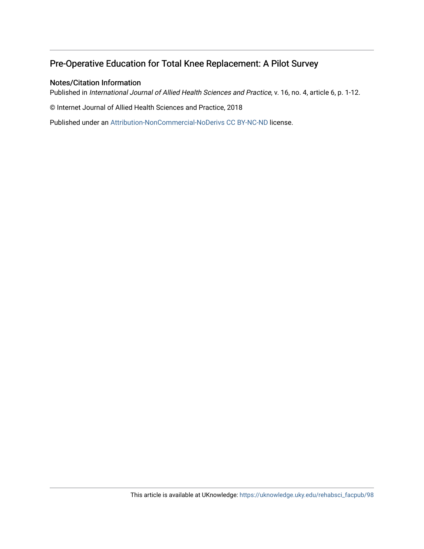# Pre-Operative Education for Total Knee Replacement: A Pilot Survey

#### Notes/Citation Information

Published in International Journal of Allied Health Sciences and Practice, v. 16, no. 4, article 6, p. 1-12.

© Internet Journal of Allied Health Sciences and Practice, 2018

Published under an [Attribution-NonCommercial-NoDerivs CC BY-NC-ND](https://creativecommons.org/licenses/by-nc-nd/3.0/) license.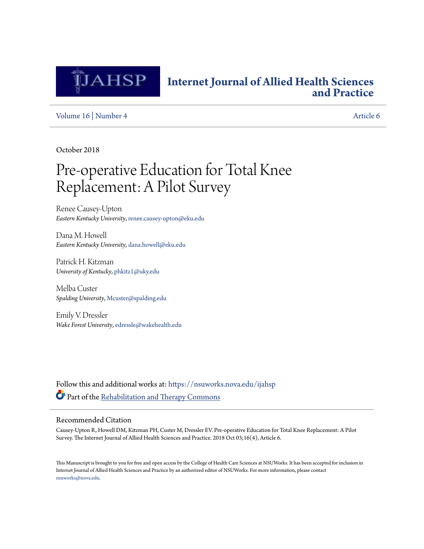

# **[Internet Journal of Allied Health Sciences](https://nsuworks.nova.edu/ijahsp?utm_source=nsuworks.nova.edu%2Fijahsp%2Fvol16%2Fiss4%2F6&utm_medium=PDF&utm_campaign=PDFCoverPages) [and Practice](https://nsuworks.nova.edu/ijahsp?utm_source=nsuworks.nova.edu%2Fijahsp%2Fvol16%2Fiss4%2F6&utm_medium=PDF&utm_campaign=PDFCoverPages)**

[Volume 16](https://nsuworks.nova.edu/ijahsp/vol16?utm_source=nsuworks.nova.edu%2Fijahsp%2Fvol16%2Fiss4%2F6&utm_medium=PDF&utm_campaign=PDFCoverPages) | [Number 4](https://nsuworks.nova.edu/ijahsp/vol16/iss4?utm_source=nsuworks.nova.edu%2Fijahsp%2Fvol16%2Fiss4%2F6&utm_medium=PDF&utm_campaign=PDFCoverPages) [Article 6](https://nsuworks.nova.edu/ijahsp/vol16/iss4/6?utm_source=nsuworks.nova.edu%2Fijahsp%2Fvol16%2Fiss4%2F6&utm_medium=PDF&utm_campaign=PDFCoverPages)

October 2018

# Pre-operative Education for Total Knee Replacement: A Pilot Survey

Renee Causey-Upton *Eastern Kentucky University*, renee.causey-upton@eku.edu

Dana M. Howell *Eastern Kentucky University*, dana.howell@eku.edu

Patrick H. Kitzman *University of Kentucky*, phkitz1@uky.edu

Melba Custer *Spalding University*, Mcuster@spalding.edu

Emily V. Dressler *Wake Forest University*, edressle@wakehealth.edu

Follow this and additional works at: [https://nsuworks.nova.edu/ijahsp](https://nsuworks.nova.edu/ijahsp?utm_source=nsuworks.nova.edu%2Fijahsp%2Fvol16%2Fiss4%2F6&utm_medium=PDF&utm_campaign=PDFCoverPages) Part of the [Rehabilitation and Therapy Commons](http://network.bepress.com/hgg/discipline/749?utm_source=nsuworks.nova.edu%2Fijahsp%2Fvol16%2Fiss4%2F6&utm_medium=PDF&utm_campaign=PDFCoverPages)

#### Recommended Citation

Causey-Upton R, Howell DM, Kitzman PH, Custer M, Dressler EV. Pre-operative Education for Total Knee Replacement: A Pilot Survey. The Internet Journal of Allied Health Sciences and Practice. 2018 Oct 03;16(4), Article 6.

This Manuscript is brought to you for free and open access by the College of Health Care Sciences at NSUWorks. It has been accepted for inclusion in Internet Journal of Allied Health Sciences and Practice by an authorized editor of NSUWorks. For more information, please contact [nsuworks@nova.edu.](mailto:nsuworks@nova.edu)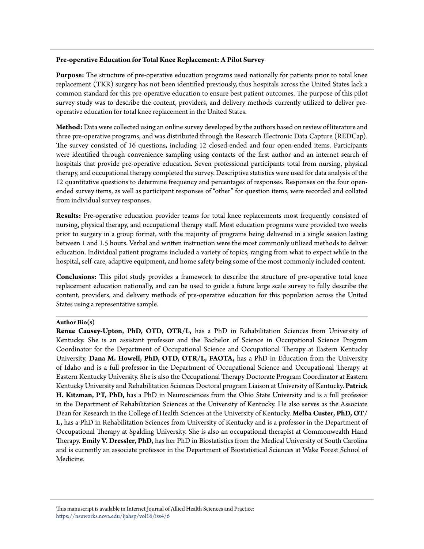#### **Pre-operative Education for Total Knee Replacement: A Pilot Survey**

**Purpose:** The structure of pre-operative education programs used nationally for patients prior to total knee replacement (TKR) surgery has not been identified previously, thus hospitals across the United States lack a common standard for this pre-operative education to ensure best patient outcomes. The purpose of this pilot survey study was to describe the content, providers, and delivery methods currently utilized to deliver preoperative education for total knee replacement in the United States.

**Method:** Data were collected using an online survey developed by the authors based on review of literature and three pre-operative programs, and was distributed through the Research Electronic Data Capture (REDCap). The survey consisted of 16 questions, including 12 closed-ended and four open-ended items. Participants were identified through convenience sampling using contacts of the first author and an internet search of hospitals that provide pre-operative education. Seven professional participants total from nursing, physical therapy, and occupational therapy completed the survey. Descriptive statistics were used for data analysis of the 12 quantitative questions to determine frequency and percentages of responses. Responses on the four openended survey items, as well as participant responses of "other" for question items, were recorded and collated from individual survey responses.

**Results:** Pre-operative education provider teams for total knee replacements most frequently consisted of nursing, physical therapy, and occupational therapy staff. Most education programs were provided two weeks prior to surgery in a group format, with the majority of programs being delivered in a single session lasting between 1 and 1.5 hours. Verbal and written instruction were the most commonly utilized methods to deliver education. Individual patient programs included a variety of topics, ranging from what to expect while in the hospital, self-care, adaptive equipment, and home safety being some of the most commonly included content.

**Conclusions:** This pilot study provides a framework to describe the structure of pre-operative total knee replacement education nationally, and can be used to guide a future large scale survey to fully describe the content, providers, and delivery methods of pre-operative education for this population across the United States using a representative sample.

#### **Author Bio(s)**

**Renee Causey-Upton, PhD, OTD, OTR/L,** has a PhD in Rehabilitation Sciences from University of Kentucky. She is an assistant professor and the Bachelor of Science in Occupational Science Program Coordinator for the Department of Occupational Science and Occupational Therapy at Eastern Kentucky University. **Dana M. Howell, PhD, OTD, OTR/L, FAOTA,** has a PhD in Education from the University of Idaho and is a full professor in the Department of Occupational Science and Occupational Therapy at Eastern Kentucky University. She is also the Occupational Therapy Doctorate Program Coordinator at Eastern Kentucky University and Rehabilitation Sciences Doctoral program Liaison at University of Kentucky. **Patrick H. Kitzman, PT, PhD,** has a PhD in Neurosciences from the Ohio State University and is a full professor in the Department of Rehabilitation Sciences at the University of Kentucky. He also serves as the Associate Dean for Research in the College of Health Sciences at the University of Kentucky. **Melba Custer, PhD, OT/ L,** has a PhD in Rehabilitation Sciences from University of Kentucky and is a professor in the Department of Occupational Therapy at Spalding University. She is also an occupational therapist at Commonwealth Hand Therapy. **Emily V. Dressler, PhD,** has her PhD in Biostatistics from the Medical University of South Carolina and is currently an associate professor in the Department of Biostatistical Sciences at Wake Forest School of Medicine.

This manuscript is available in Internet Journal of Allied Health Sciences and Practice: [https://nsuworks.nova.edu/ijahsp/vol16/iss4/6](https://nsuworks.nova.edu/ijahsp/vol16/iss4/6?utm_source=nsuworks.nova.edu%2Fijahsp%2Fvol16%2Fiss4%2F6&utm_medium=PDF&utm_campaign=PDFCoverPages)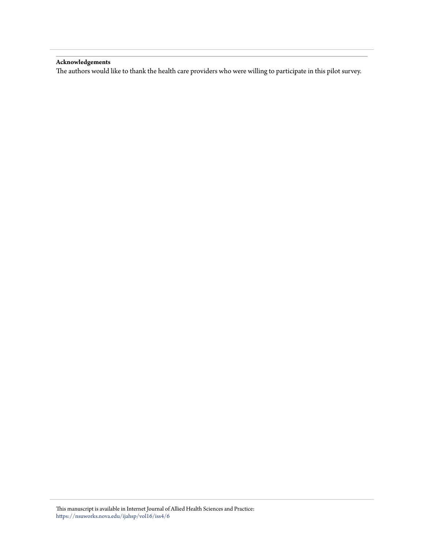#### **Acknowledgements**

The authors would like to thank the health care providers who were willing to participate in this pilot survey.

This manuscript is available in Internet Journal of Allied Health Sciences and Practice: [https://nsuworks.nova.edu/ijahsp/vol16/iss4/6](https://nsuworks.nova.edu/ijahsp/vol16/iss4/6?utm_source=nsuworks.nova.edu%2Fijahsp%2Fvol16%2Fiss4%2F6&utm_medium=PDF&utm_campaign=PDFCoverPages)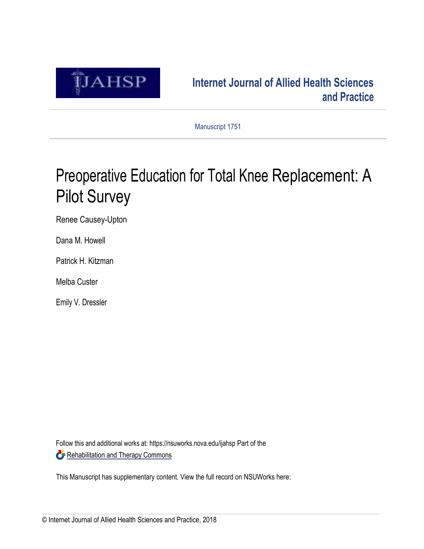

# <span id="page-5-0"></span>**[Internet Journal of Allied Health Sciences](https://nsuworks.nova.edu/ijahsp?utm_source=nsuworks.nova.edu%2Fijahsp%2Fvol14%2Fiss3%2F1&utm_medium=PDF&utm_campaign=PDFCoverPages) [and Practice](https://nsuworks.nova.edu/ijahsp?utm_source=nsuworks.nova.edu%2Fijahsp%2Fvol14%2Fiss3%2F1&utm_medium=PDF&utm_campaign=PDFCoverPages)**

Manuscript 1751

# Preoperative Education for Total Knee Replacement: A Pilot Survey

Renee Causey-Upton

Dana M. Howell

Patrick H. Kitzman

Melba Custer

Emily V. Dressler

Follow this and additional works at: [https://nsuworks.nova.edu/ijahsp](https://nsuworks.nova.edu/ijahsp?utm_source=nsuworks.nova.edu%2Fijahsp%2Fvol14%2Fiss3%2F1&utm_medium=PDF&utm_campaign=PDFCoverPages) Part of the [Rehabilitation and Therapy Commons](http://network.bepress.com/hgg/discipline/749?utm_source=nsuworks.nova.edu%2Fijahsp%2Fvol14%2Fiss3%2F1&utm_medium=PDF&utm_campaign=PDFCoverPages)

This Manuscript has supplementary content. View the full record on NSUWorks he[re:](#page-5-0)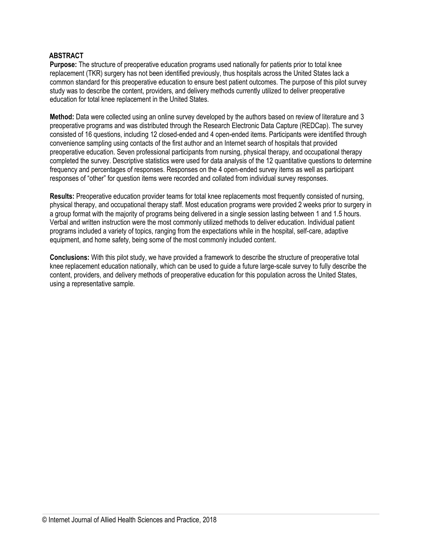# **ABSTRACT**

**Purpose:** The structure of preoperative education programs used nationally for patients prior to total knee replacement (TKR) surgery has not been identified previously, thus hospitals across the United States lack a common standard for this preoperative education to ensure best patient outcomes. The purpose of this pilot survey study was to describe the content, providers, and delivery methods currently utilized to deliver preoperative education for total knee replacement in the United States.

**Method:** Data were collected using an online survey developed by the authors based on review of literature and 3 preoperative programs and was distributed through the Research Electronic Data Capture (REDCap). The survey consisted of 16 questions, including 12 closed-ended and 4 open-ended items. Participants were identified through convenience sampling using contacts of the first author and an Internet search of hospitals that provided preoperative education. Seven professional participants from nursing, physical therapy, and occupational therapy completed the survey. Descriptive statistics were used for data analysis of the 12 quantitative questions to determine frequency and percentages of responses. Responses on the 4 open-ended survey items as well as participant responses of "other" for question items were recorded and collated from individual survey responses.

**Results:** Preoperative education provider teams for total knee replacements most frequently consisted of nursing, physical therapy, and occupational therapy staff. Most education programs were provided 2 weeks prior to surgery in a group format with the majority of programs being delivered in a single session lasting between 1 and 1.5 hours. Verbal and written instruction were the most commonly utilized methods to deliver education. Individual patient programs included a variety of topics, ranging from the expectations while in the hospital, self-care, adaptive equipment, and home safety, being some of the most commonly included content.

**Conclusions:** With this pilot study, we have provided a framework to describe the structure of preoperative total knee replacement education nationally, which can be used to guide a future large-scale survey to fully describe the content, providers, and delivery methods of preoperative education for this population across the United States, using a representative sample.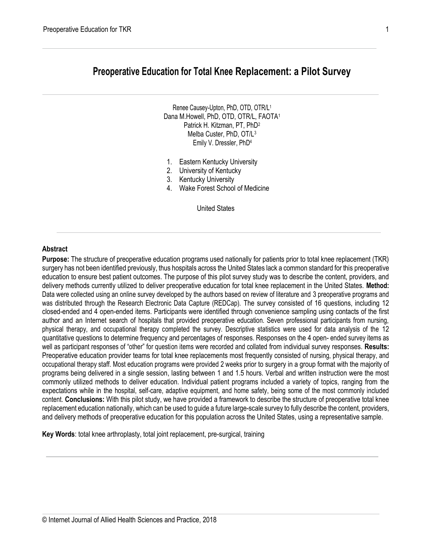# **Preoperative Education for Total Knee Replacement: a Pilot Survey**

Renee Causey-Upton, PhD, OTD, OTR/L<sup>1</sup> Dana M.Howell, PhD, OTD, OTR/L, FAOTA<sup>1</sup> Patrick H. Kitzman, PT, PhD<sup>2</sup> Melba Custer, PhD, OT/L<sup>3</sup> Emily V. Dressler, PhD<sup>4</sup>

- 1. Eastern Kentucky University
- 2. University of Kentucky
- 3. Kentucky University
- 4. Wake Forest School of Medicine

United States

#### **Abstract**

**Purpose:** The structure of preoperative education programs used nationally for patients prior to total knee replacement (TKR) surgery has not been identified previously, thus hospitals across the United States lack a common standard for this preoperative education to ensure best patient outcomes. The purpose of this pilot survey study was to describe the content, providers, and delivery methods currently utilized to deliver preoperative education for total knee replacement in the United States. **Method:**  Data were collected using an online survey developed by the authors based on review of literature and 3 preoperative programs and was distributed through the Research Electronic Data Capture (REDCap). The survey consisted of 16 questions, including 12 closed-ended and 4 open-ended items. Participants were identified through convenience sampling using contacts of the first author and an Internet search of hospitals that provided preoperative education. Seven professional participants from nursing, physical therapy, and occupational therapy completed the survey. Descriptive statistics were used for data analysis of the 12 quantitative questions to determine frequency and percentages of responses. Responses on the 4 open- ended survey items as well as participant responses of "other" for question items were recorded and collated from individual survey responses. **Results:**  Preoperative education provider teams for total knee replacements most frequently consisted of nursing, physical therapy, and occupational therapy staff. Most education programs were provided 2 weeks prior to surgery in a group format with the majority of programs being delivered in a single session, lasting between 1 and 1.5 hours. Verbal and written instruction were the most commonly utilized methods to deliver education. Individual patient programs included a variety of topics, ranging from the expectations while in the hospital, self-care, adaptive equipment, and home safety, being some of the most commonly included content. **Conclusions:** With this pilot study, we have provided a framework to describe the structure of preoperative total knee replacement education nationally, which can be used to guide a future large-scale survey to fully describe the content, providers, and delivery methods of preoperative education for this population across the United States, using a representative sample.

**Key Words**: total knee arthroplasty, total joint replacement, pre-surgical, training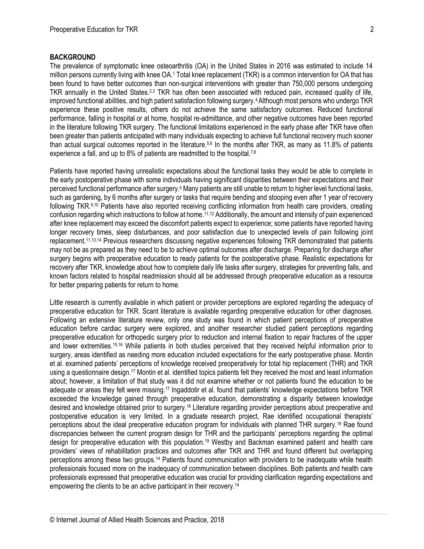#### **BACKGROUND**

The prevalence of symptomatic knee osteoarthritis (OA) in the United States in 2016 was estimated to include 14 million persons currently living with knee OA.<sup>1</sup> Total knee replacement (TKR) is a common intervention for OA that has been found to have better outcomes than non-surgical interventions with greater than 750,000 persons undergoing TKR annually in the United States.<sup>2,3</sup> TKR has often been associated with reduced pain, increased quality of life, improved functional abilities, and high patient satisfaction following surgery.4Although most persons who undergo TKR experience these positive results, others do not achieve the same satisfactory outcomes. Reduced functional performance, falling in hospital or at home, hospital re-admittance, and other negative outcomes have been reported in the literature following TKR surgery. The functional limitations experienced in the early phase after TKR have often been greater than patients anticipated with many individuals expecting to achieve full functional recovery much sooner than actual surgical outcomes reported in the literature.<sup>5,6</sup> In the months after TKR, as many as 11.8% of patients experience a fall, and up to 8% of patients are readmitted to the hospital.<sup>7,8</sup>

Patients have reported having unrealistic expectations about the functional tasks they would be able to complete in the early postoperative phase with some individuals having significant disparities between their expectations and their perceived functional performance after surgery.<sup>6</sup> Many patients are still unable to return to higher level functional tasks, such as gardening, by 6 months after surgery or tasks that require bending and stooping even after 1 year of recovery following TKR.9,10 Patients have also reported receiving conflicting information from health care providers, creating confusion regarding which instructions to follow at home.11,12 Additionally, the amount and intensity of pain experienced after knee replacement may exceed the discomfort patients expect to experience; some patients have reported having longer recovery times, sleep disturbances, and poor satisfaction due to unexpected levels of pain following joint replacement.11,13,14 Previous researchers discussing negative experiences following TKR demonstrated that patients may not be as prepared as they need to be to achieve optimal outcomes after discharge. Preparing for discharge after surgery begins with preoperative education to ready patients for the postoperative phase. Realistic expectations for recovery after TKR, knowledge about how to complete daily life tasks after surgery, strategies for preventing falls, and known factors related to hospital readmission should all be addressed through preoperative education as a resource for better preparing patients for return to home.

Little research is currently available in which patient or provider perceptions are explored regarding the adequacy of preoperative education for TKR. Scant literature is available regarding preoperative education for other diagnoses. Following an extensive literature review, only one study was found in which patient perceptions of preoperative education before cardiac surgery were explored, and another researcher studied patient perceptions regarding preoperative education for orthopedic surgery prior to reduction and internal fixation to repair fractures of the upper and lower extremities.15,16 While patients in both studies perceived that they received helpful information prior to surgery, areas identified as needing more education included expectations for the early postoperative phase. Montin et al. examined patients' perceptions of knowledge received preoperatively for total hip replacement (THR) and TKR using a questionnaire design.<sup>17</sup> Montin et al. identified topics patients felt they received the most and least information about; however, a limitation of that study was it did not examine whether or not patients found the education to be adequate or areas they felt were missing.<sup>17</sup> Ingaddotir et al. found that patients' knowledge expectations before TKR exceeded the knowledge gained through preoperative education, demonstrating a disparity between knowledge desired and knowledge obtained prior to surgery.<sup>18</sup> Literature regarding provider perceptions about preoperative and postoperative education is very limited. In a graduate research project, Rae identified occupational therapists' perceptions about the ideal preoperative education program for individuals with planned THR surgery.<sup>19</sup> Rae found discrepancies between the current program design for THR and the participants' perceptions regarding the optimal design for preoperative education with this population.<sup>19</sup> Westby and Backman examined patient and health care providers' views of rehabilitation practices and outcomes after TKR and THR and found different but overlapping perceptions among these two groups.<sup>14</sup> Patients found communication with providers to be inadequate while health professionals focused more on the inadequacy of communication between disciplines. Both patients and health care professionals expressed that preoperative education was crucial for providing clarification regarding expectations and empowering the clients to be an active participant in their recovery.<sup>14</sup>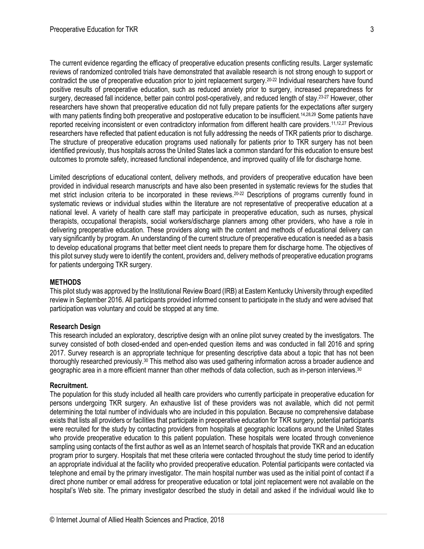The current evidence regarding the efficacy of preoperative education presents conflicting results. Larger systematic reviews of randomized controlled trials have demonstrated that available research is not strong enough to support or contradict the use of preoperative education prior to joint replacement surgery.20-22 Individual researchers have found positive results of preoperative education, such as reduced anxiety prior to surgery, increased preparedness for surgery, decreased fall incidence, better pain control post-operatively, and reduced length of stay.<sup>23-27</sup> However, other researchers have shown that preoperative education did not fully prepare patients for the expectations after surgery with many patients finding both preoperative and postoperative education to be insufficient.<sup>14,28,29</sup> Some patients have reported receiving inconsistent or even contradictory information from different health care providers.11,12,27 Previous researchers have reflected that patient education is not fully addressing the needs of TKR patients prior to discharge. The structure of preoperative education programs used nationally for patients prior to TKR surgery has not been identified previously, thus hospitals across the United States lack a common standard for this education to ensure best outcomes to promote safety, increased functional independence, and improved quality of life for discharge home.

Limited descriptions of educational content, delivery methods, and providers of preoperative education have been provided in individual research manuscripts and have also been presented in systematic reviews for the studies that met strict inclusion criteria to be incorporated in these reviews.<sup>20-22</sup> Descriptions of programs currently found in systematic reviews or individual studies within the literature are not representative of preoperative education at a national level. A variety of health care staff may participate in preoperative education, such as nurses, physical therapists, occupational therapists, social workers/discharge planners among other providers, who have a role in delivering preoperative education. These providers along with the content and methods of educational delivery can vary significantly by program. An understanding of the current structure of preoperative education is needed as a basis to develop educational programs that better meet client needs to prepare them for discharge home. The objectives of this pilot survey study were to identify the content, providers and, delivery methods of preoperative education programs for patients undergoing TKR surgery.

#### **METHODS**

This pilot study was approved by the Institutional Review Board (IRB) at Eastern Kentucky University through expedited review in September 2016. All participants provided informed consent to participate in the study and were advised that participation was voluntary and could be stopped at any time.

#### **Research Design**

This research included an exploratory, descriptive design with an online pilot survey created by the investigators. The survey consisted of both closed-ended and open-ended question items and was conducted in fall 2016 and spring 2017. Survey research is an appropriate technique for presenting descriptive data about a topic that has not been thoroughly researched previously.<sup>30</sup> This method also was used gathering information across a broader audience and geographic area in a more efficient manner than other methods of data collection, such as in-person interviews.<sup>30</sup>

#### **Recruitment.**

The population for this study included all health care providers who currently participate in preoperative education for persons undergoing TKR surgery. An exhaustive list of these providers was not available, which did not permit determining the total number of individuals who are included in this population. Because no comprehensive database exists that lists all providers or facilities that participate in preoperative education for TKR surgery, potential participants were recruited for the study by contacting providers from hospitals at geographic locations around the United States who provide preoperative education to this patient population. These hospitals were located through convenience sampling using contacts of the first author as well as an Internet search of hospitals that provide TKR and an education program prior to surgery. Hospitals that met these criteria were contacted throughout the study time period to identify an appropriate individual at the facility who provided preoperative education. Potential participants were contacted via telephone and email by the primary investigator. The main hospital number was used as the initial point of contact if a direct phone number or email address for preoperative education or total joint replacement were not available on the hospital's Web site. The primary investigator described the study in detail and asked if the individual would like to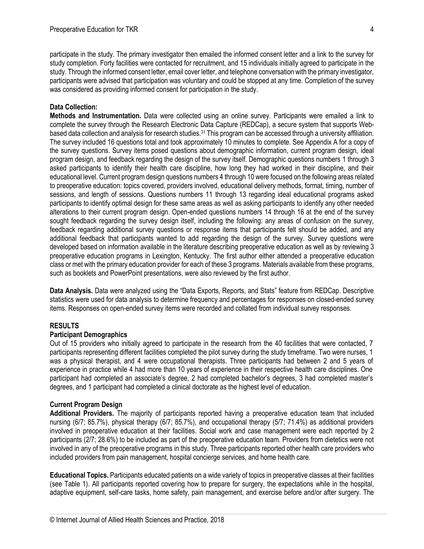participate in the study. The primary investigator then emailed the informed consent letter and a link to the survey for study completion. Forty facilities were contacted for recruitment, and 15 individuals initially agreed to participate in the study. Through the informed consent letter, email cover letter, and telephone conversation with the primary investigator, participants were advised that participation was voluntary and could be stopped at any time. Completion of the survey was considered as providing informed consent for participation in the study.

# **Data Collection:**

**Methods and Instrumentation.** Data were collected using an online survey. Participants were emailed a link to complete the survey through the Research Electronic Data Capture (REDCap), a secure system that supports Webbased data collection and analysis for research studies.<sup>31</sup> This program can be accessed through a university affiliation. The survey included 16 questions total and took approximately 10 minutes to complete. See Appendix A for a copy of the survey questions. Survey items posed questions about demographic information, current program design, ideal program design, and feedback regarding the design of the survey itself. Demographic questions numbers 1 through 3 asked participants to identify their health care discipline, how long they had worked in their discipline, and their educational level. Current program design questions numbers 4 through 10 were focused on the following areas related to preoperative education: topics covered, providers involved, educational delivery methods, format, timing, number of sessions, and length of sessions. Questions numbers 11 through 13 regarding ideal educational programs asked participants to identify optimal design for these same areas as well as asking participants to identify any other needed alterations to their current program design. Open-ended questions numbers 14 through 16 at the end of the survey sought feedback regarding the survey design itself, including the following: any areas of confusion on the survey, feedback regarding additional survey questions or response items that participants felt should be added, and any additional feedback that participants wanted to add regarding the design of the survey. Survey questions were developed based on information available in the literature describing preoperative education as well as by reviewing 3 preoperative education programs in Lexington, Kentucky. The first author either attended a preoperative education class or met with the primary education provider for each of these 3 programs. Materials available from these programs, such as booklets and PowerPoint presentations, were also reviewed by the first author.

**Data Analysis.** Data were analyzed using the "Data Exports, Reports, and Stats" feature from REDCap. Descriptive statistics were used for data analysis to determine frequency and percentages for responses on closed-ended survey items. Responses on open-ended survey items were recorded and collated from individual survey responses.

# **RESULTS**

# **Participant Demographics**

Out of 15 providers who initially agreed to participate in the research from the 40 facilities that were contacted, 7 participants representing different facilities completed the pilot survey during the study timeframe. Two were nurses, 1 was a physical therapist, and 4 were occupational therapists. Three participants had between 2 and 5 years of experience in practice while 4 had more than 10 years of experience in their respective health care disciplines. One participant had completed an associate's degree, 2 had completed bachelor's degrees, 3 had completed master's degrees, and 1 participant had completed a clinical doctorate as the highest level of education.

# **Current Program Design**

**Additional Providers.** The majority of participants reported having a preoperative education team that included nursing (6/7; 85.7%), physical therapy (6/7; 85.7%), and occupational therapy (5/7; 71.4%) as additional providers involved in preoperative education at their facilities. Social work and case management were each reported by 2 participants (2/7; 28.6%) to be included as part of the preoperative education team. Providers from dietetics were not involved in any of the preoperative programs in this study. Three participants reported other health care providers who included providers from pain management, hospital concierge services, and home health care.

**Educational Topics.** Participants educated patients on a wide variety of topics in preoperative classes at their facilities (see Table 1). All participants reported covering how to prepare for surgery, the expectations while in the hospital, adaptive equipment, self-care tasks, home safety, pain management, and exercise before and/or after surgery. The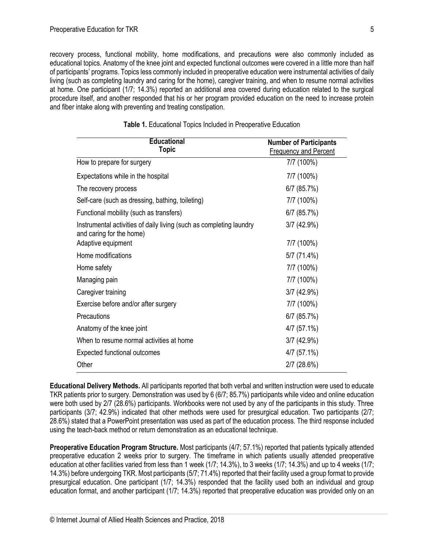recovery process, functional mobility, home modifications, and precautions were also commonly included as educational topics. Anatomy of the knee joint and expected functional outcomes were covered in a little more than half of participants' programs. Topics less commonly included in preoperative education were instrumental activities of daily living (such as completing laundry and caring for the home), caregiver training, and when to resume normal activities at home. One participant (1/7; 14.3%) reported an additional area covered during education related to the surgical procedure itself, and another responded that his or her program provided education on the need to increase protein and fiber intake along with preventing and treating constipation.

| <b>Educational</b><br><b>Topic</b>                                                              | <b>Number of Participants</b><br><b>Frequency and Percent</b> |  |  |
|-------------------------------------------------------------------------------------------------|---------------------------------------------------------------|--|--|
| How to prepare for surgery                                                                      | 7/7 (100%)                                                    |  |  |
| Expectations while in the hospital                                                              | 7/7 (100%)                                                    |  |  |
| The recovery process                                                                            | $6/7$ (85.7%)                                                 |  |  |
| Self-care (such as dressing, bathing, toileting)                                                | 7/7 (100%)                                                    |  |  |
| Functional mobility (such as transfers)                                                         | $6/7$ (85.7%)                                                 |  |  |
| Instrumental activities of daily living (such as completing laundry<br>and caring for the home) | 3/7(42.9%)                                                    |  |  |
| Adaptive equipment                                                                              | 7/7 (100%)                                                    |  |  |
| Home modifications                                                                              | 5/7 (71.4%)                                                   |  |  |
| Home safety                                                                                     | 7/7 (100%)                                                    |  |  |
| Managing pain                                                                                   | 7/7 (100%)                                                    |  |  |
| Caregiver training                                                                              | 3/7(42.9%)                                                    |  |  |
| Exercise before and/or after surgery                                                            | 7/7 (100%)                                                    |  |  |
| Precautions                                                                                     | $6/7$ (85.7%)                                                 |  |  |
| Anatomy of the knee joint                                                                       | 4/7 (57.1%)                                                   |  |  |
| When to resume normal activities at home                                                        | 3/7(42.9%)                                                    |  |  |
| <b>Expected functional outcomes</b>                                                             | $4/7$ (57.1%)                                                 |  |  |
| Other                                                                                           | $2/7$ (28.6%)                                                 |  |  |

| Table 1. Educational Topics Included in Preoperative Education |  |  |  |
|----------------------------------------------------------------|--|--|--|
|                                                                |  |  |  |

**Educational Delivery Methods.** All participants reported that both verbal and written instruction were used to educate TKR patients prior to surgery. Demonstration was used by 6 (6/7; 85.7%) participants while video and online education were both used by 2/7 (28.6%) participants. Workbooks were not used by any of the participants in this study. Three participants (3/7; 42.9%) indicated that other methods were used for presurgical education. Two participants (2/7; 28.6%) stated that a PowerPoint presentation was used as part of the education process. The third response included using the teach-back method or return demonstration as an educational technique.

**Preoperative Education Program Structure***.* Most participants (4/7; 57.1%) reported that patients typically attended preoperative education 2 weeks prior to surgery. The timeframe in which patients usually attended preoperative education at other facilities varied from less than 1 week (1/7; 14.3%), to 3 weeks (1/7; 14.3%) and up to 4 weeks (1/7; 14.3%) before undergoing TKR. Most participants (5/7; 71.4%) reported that their facility used a group format to provide presurgical education. One participant (1/7; 14.3%) responded that the facility used both an individual and group education format, and another participant (1/7; 14.3%) reported that preoperative education was provided only on an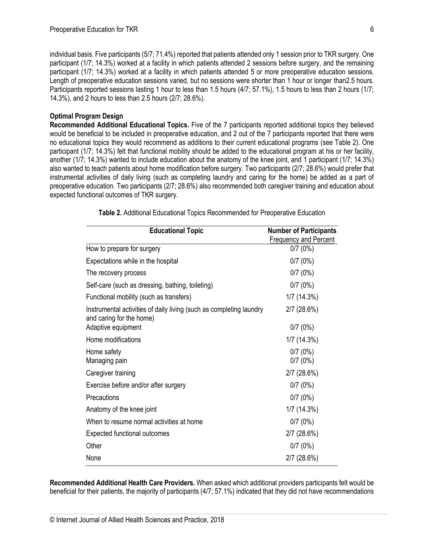individual basis. Five participants (5/7; 71.4%) reported that patients attended only 1 session prior to TKR surgery. One participant (1/7; 14.3%) worked at a facility in which patients attended 2 sessions before surgery, and the remaining participant (1/7; 14.3%) worked at a facility in which patients attended 5 or more preoperative education sessions. Length of preoperative education sessions varied, but no sessions were shorter than 1 hour or longer than2.5 hours. Participants reported sessions lasting 1 hour to less than 1.5 hours (4/7; 57.1%), 1.5 hours to less than 2 hours (1/7; 14.3%), and 2 hours to less than 2.5 hours (2/7; 28.6%).

# **Optimal Program Design**

**Recommended Additional Educational Topics.** Five of the 7 participants reported additional topics they believed would be beneficial to be included in preoperative education, and 2 out of the 7 participants reported that there were no educational topics they would recommend as additions to their current educational programs (see Table 2). One participant (1/7; 14.3%) felt that functional mobility should be added to the educational program at his or her facility, another (1/7; 14.3%) wanted to include education about the anatomy of the knee joint, and 1 participant (1/7; 14.3%) also wanted to teach patients about home modification before surgery. Two participants (2/7; 28.6%) would prefer that instrumental activities of daily living (such as completing laundry and caring for the home) be added as a part of preoperative education. Two participants (2/7; 28.6%) also recommended both caregiver training and education about expected functional outcomes of TKR surgery.

| <b>Educational Topic</b>                                                                        | <b>Number of Participants</b> |  |  |
|-------------------------------------------------------------------------------------------------|-------------------------------|--|--|
|                                                                                                 | <b>Frequency and Percent</b>  |  |  |
| How to prepare for surgery                                                                      | 0/7(0%)                       |  |  |
| Expectations while in the hospital                                                              | 0/7(0%)                       |  |  |
| The recovery process                                                                            | 0/7(0%)                       |  |  |
| Self-care (such as dressing, bathing, toileting)                                                | 0/7(0%)                       |  |  |
| Functional mobility (such as transfers)                                                         | 1/7(14.3%)                    |  |  |
| Instrumental activities of daily living (such as completing laundry<br>and caring for the home) | $2/7$ (28.6%)                 |  |  |
| Adaptive equipment                                                                              | 0/7(0%)                       |  |  |
| Home modifications                                                                              | 1/7(14.3%)                    |  |  |
| Home safety                                                                                     | 0/7(0%)                       |  |  |
| Managing pain                                                                                   | 0/7(0%)                       |  |  |
| Caregiver training                                                                              | 2/7(28.6%)                    |  |  |
| Exercise before and/or after surgery                                                            | 0/7(0%)                       |  |  |
| Precautions                                                                                     | 0/7(0%)                       |  |  |
| Anatomy of the knee joint                                                                       | 1/7(14.3%)                    |  |  |
| When to resume normal activities at home                                                        | 0/7(0%)                       |  |  |
| <b>Expected functional outcomes</b>                                                             | 2/7(28.6%)                    |  |  |
| Other                                                                                           | 0/7(0%)                       |  |  |
| None                                                                                            | 2/7(28.6%)                    |  |  |

**Table 2.** Additional Educational Topics Recommended for Preoperative Education

**Recommended Additional Health Care Providers***.* When asked which additional providers participants felt would be beneficial for their patients, the majority of participants (4/7; 57.1%) indicated that they did not have recommendations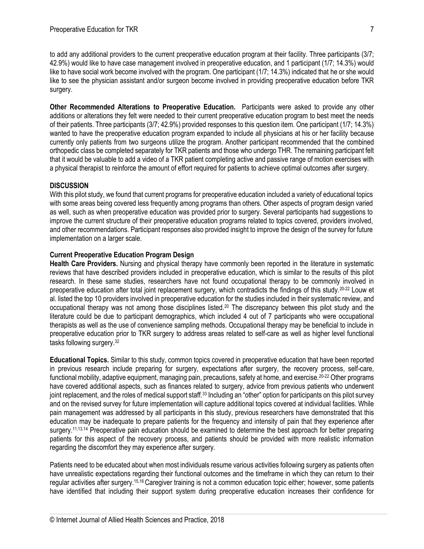to add any additional providers to the current preoperative education program at their facility. Three participants (3/7; 42.9%) would like to have case management involved in preoperative education, and 1 participant (1/7; 14.3%) would like to have social work become involved with the program. One participant (1/7; 14.3%) indicated that he or she would like to see the physician assistant and/or surgeon become involved in providing preoperative education before TKR surgery.

**Other Recommended Alterations to Preoperative Education.** Participants were asked to provide any other additions or alterations they felt were needed to their current preoperative education program to best meet the needs of their patients. Three participants (3/7; 42.9%) provided responses to this question item. One participant (1/7; 14.3%) wanted to have the preoperative education program expanded to include all physicians at his or her facility because currently only patients from two surgeons utilize the program. Another participant recommended that the combined orthopedic class be completed separately for TKR patients and those who undergo THR. The remaining participant felt that it would be valuable to add a video of a TKR patient completing active and passive range of motion exercises with a physical therapist to reinforce the amount of effort required for patients to achieve optimal outcomes after surgery.

# **DISCUSSION**

With this pilot study, we found that current programs for preoperative education included a variety of educational topics with some areas being covered less frequently among programs than others. Other aspects of program design varied as well, such as when preoperative education was provided prior to surgery. Several participants had suggestions to improve the current structure of their preoperative education programs related to topics covered, providers involved, and other recommendations. Participant responses also provided insight to improve the design of the survey for future implementation on a larger scale.

### **Current Preoperative Education Program Design**

**Health Care Providers.** Nursing and physical therapy have commonly been reported in the literature in systematic reviews that have described providers included in preoperative education, which is similar to the results of this pilot research. In these same studies, researchers have not found occupational therapy to be commonly involved in preoperative education after total joint replacement surgery, which contradicts the findings of this study.20-22 Louw et al. listed the top 10 providers involved in preoperative education for the studies included in their systematic review, and occupational therapy was not among those disciplines listed.<sup>20</sup> The discrepancy between this pilot study and the literature could be due to participant demographics, which included 4 out of 7 participants who were occupational therapists as well as the use of convenience sampling methods. Occupational therapy may be beneficial to include in preoperative education prior to TKR surgery to address areas related to self-care as well as higher level functional tasks following surgery.<sup>32</sup>

**Educational Topics.** Similar to this study, common topics covered in preoperative education that have been reported in previous research include preparing for surgery, expectations after surgery, the recovery process, self-care, functional mobility, adaptive equipment, managing pain, precautions, safety at home, and exercise.<sup>20-22</sup> Other programs have covered additional aspects, such as finances related to surgery, advice from previous patients who underwent joint replacement, and the roles of medical support staff.<sup>33</sup> Including an "other" option for participants on this pilot survey and on the revised survey for future implementation will capture additional topics covered at individual facilities. While pain management was addressed by all participants in this study, previous researchers have demonstrated that this education may be inadequate to prepare patients for the frequency and intensity of pain that they experience after surgery.<sup>11,13,14</sup> Preoperative pain education should be examined to determine the best approach for better preparing patients for this aspect of the recovery process, and patients should be provided with more realistic information regarding the discomfort they may experience after surgery.

Patients need to be educated about when most individuals resume various activities following surgery as patients often have unrealistic expectations regarding their functional outcomes and the timeframe in which they can return to their regular activities after surgery.15,16 Caregiver training is not a common education topic either; however, some patients have identified that including their support system during preoperative education increases their confidence for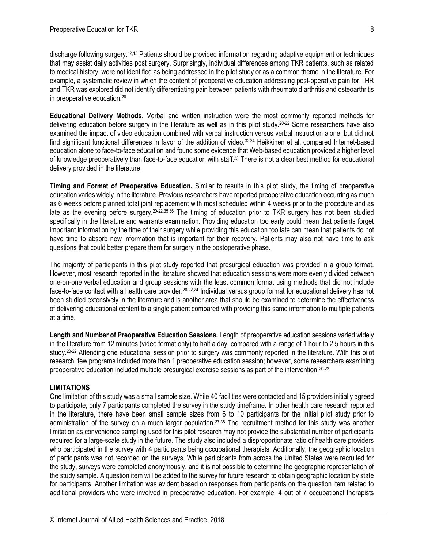discharge following surgery.12,13 Patients should be provided information regarding adaptive equipment or techniques that may assist daily activities post surgery. Surprisingly, individual differences among TKR patients, such as related to medical history, were not identified as being addressed in the pilot study or as a common theme in the literature. For example, a systematic review in which the content of preoperative education addressing post-operative pain for THR and TKR was explored did not identify differentiating pain between patients with rheumatoid arthritis and osteoarthritis in preoperative education.<sup>20</sup>

**Educational Delivery Methods.** Verbal and written instruction were the most commonly reported methods for delivering education before surgery in the literature as well as in this pilot study.20-22 Some researchers have also examined the impact of video education combined with verbal instruction versus verbal instruction alone, but did not find significant functional differences in favor of the addition of video.<sup>32,34</sup> Heikkinen et al. compared Internet-based education alone to face-to-face education and found some evidence that Web-based education provided a higher level of knowledge preoperatively than face-to-face education with staff.<sup>33</sup> There is not a clear best method for educational delivery provided in the literature.

**Timing and Format of Preoperative Education.** Similar to results in this pilot study, the timing of preoperative education varies widely in the literature. Previous researchers have reported preoperative education occurring as much as 6 weeks before planned total joint replacement with most scheduled within 4 weeks prior to the procedure and as late as the evening before surgery.20-22,35,36 The timing of education prior to TKR surgery has not been studied specifically in the literature and warrants examination. Providing education too early could mean that patients forget important information by the time of their surgery while providing this education too late can mean that patients do not have time to absorb new information that is important for their recovery. Patients may also not have time to ask questions that could better prepare them for surgery in the postoperative phase.

The majority of participants in this pilot study reported that presurgical education was provided in a group format. However, most research reported in the literature showed that education sessions were more evenly divided between one-on-one verbal education and group sessions with the least common format using methods that did not include face-to-face contact with a health care provider.<sup>20-22,24</sup> Individual versus group format for educational delivery has not been studied extensively in the literature and is another area that should be examined to determine the effectiveness of delivering educational content to a single patient compared with providing this same information to multiple patients at a time.

**Length and Number of Preoperative Education Sessions.** Length of preoperative education sessions varied widely in the literature from 12 minutes (video format only) to half a day, compared with a range of 1 hour to 2.5 hours in this study.<sup>20-22</sup> Attending one educational session prior to surgery was commonly reported in the literature. With this pilot research, few programs included more than 1 preoperative education session; however, some researchers examining preoperative education included multiple presurgical exercise sessions as part of the intervention.20-22

# **LIMITATIONS**

One limitation of this study was a small sample size. While 40 facilities were contacted and 15 providers initially agreed to participate, only 7 participants completed the survey in the study timeframe. In other health care research reported in the literature, there have been small sample sizes from 6 to 10 participants for the initial pilot study prior to administration of the survey on a much larger population.<sup>37,38</sup> The recruitment method for this study was another limitation as convenience sampling used for this pilot research may not provide the substantial number of participants required for a large-scale study in the future. The study also included a disproportionate ratio of health care providers who participated in the survey with 4 participants being occupational therapists. Additionally, the geographic location of participants was not recorded on the surveys. While participants from across the United States were recruited for the study, surveys were completed anonymously, and it is not possible to determine the geographic representation of the study sample. A question item will be added to the survey for future research to obtain geographic location by state for participants. Another limitation was evident based on responses from participants on the question item related to additional providers who were involved in preoperative education. For example, 4 out of 7 occupational therapists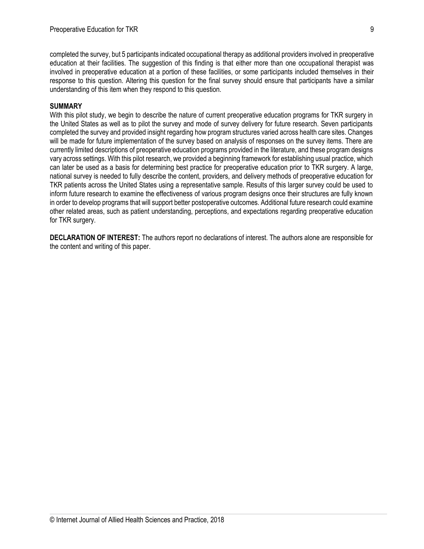completed the survey, but 5 participants indicated occupational therapy as additional providers involved in preoperative education at their facilities. The suggestion of this finding is that either more than one occupational therapist was involved in preoperative education at a portion of these facilities, or some participants included themselves in their response to this question. Altering this question for the final survey should ensure that participants have a similar understanding of this item when they respond to this question.

#### **SUMMARY**

With this pilot study, we begin to describe the nature of current preoperative education programs for TKR surgery in the United States as well as to pilot the survey and mode of survey delivery for future research. Seven participants completed the survey and provided insight regarding how program structures varied across health care sites. Changes will be made for future implementation of the survey based on analysis of responses on the survey items. There are currently limited descriptions of preoperative education programs provided in the literature, and these program designs vary across settings. With this pilot research, we provided a beginning framework for establishing usual practice, which can later be used as a basis for determining best practice for preoperative education prior to TKR surgery. A large, national survey is needed to fully describe the content, providers, and delivery methods of preoperative education for TKR patients across the United States using a representative sample. Results of this larger survey could be used to inform future research to examine the effectiveness of various program designs once their structures are fully known in order to develop programs that will support better postoperative outcomes. Additional future research could examine other related areas, such as patient understanding, perceptions, and expectations regarding preoperative education for TKR surgery.

**DECLARATION OF INTEREST:** The authors report no declarations of interest. The authors alone are responsible for the content and writing of this paper.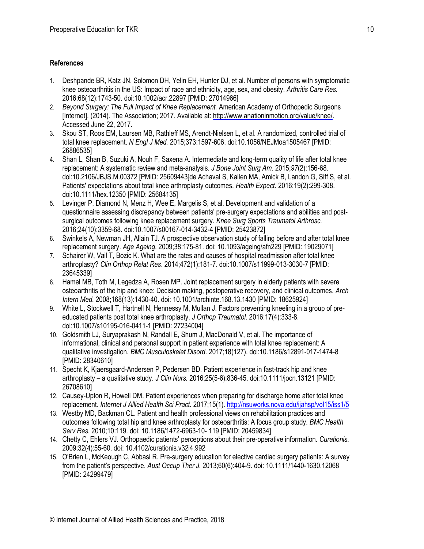# **References**

- 1. Deshpande BR, Katz JN, Solomon DH, Yelin EH, Hunter DJ, et al. Number of persons with symptomatic knee osteoarthritis in the US: Impact of race and ethnicity, age, sex, and obesity. *Arthritis Care Res.*  2016;68(12):1743-50. doi:10.1002/acr.22897 [PMID: 27014966]
- 2. *Beyond Surgery: The Full Impact of Knee Replacement.* American Academy of Orthopedic Surgeons [Internet]. (2014). The Association; 2017. Available at[: http://www.anationinmotion.org/value/knee/.](http://www.anationinmotion.org/value/knee/)  Accessed June 22, 2017.
- 3. Skou ST, Roos EM, Laursen MB, Rathleff MS, Arendt-Nielsen L, et al. A randomized, controlled trial of total knee replacement. *N Engl J Med.* 2015;373:1597-606. doi:10.1056/NEJMoa1505467 [PMID: 26886535]
- 4. Shan L, Shan B, Suzuki A, Nouh F, Saxena A. Intermediate and long-term quality of life after total knee replacement: A systematic review and meta-analysis. *J Bone Joint Surg Am*. 2015;*97*(2):156-68. doi:10.2106/JBJS.M.00372 [PMID: 25609443]de Achaval S, Kallen MA, Amick B, Landon G, Siff S, et al. Patients' expectations about total knee arthroplasty outcomes. *Health Expect*. 2016;19(2):299-308. doi:10.1111/hex.12350 [PMID: 25684135]
- 5. Levinger P, Diamond N, Menz H, Wee E, Margelis S, et al. Development and validation of a questionnaire assessing discrepancy between patients' pre-surgery expectations and abilities and postsurgical outcomes following knee replacement surgery. *Knee Surg Sports Traumatol Arthrosc.*  2016;24(10):3359-68. doi:10.1007/s00167-014-3432-4 [PMID: 25423872]
- 6. Swinkels A, Newman JH, Allain TJ. A prospective observation study of falling before and after total knee replacement surgery. *Age Ageing*. 2009;38:175-81. doi: 10.1093/ageing/afn229 [PMID: 19029071]
- 7. Schairer W, Vail T, Bozic K. What are the rates and causes of hospital readmission after total knee arthroplasty? *Clin Orthop Relat Res*. 2014;472(1):181-7. doi:10.1007/s11999-013-3030-7 [PMID: 23645339]
- 8. Hamel MB, Toth M, Legedza A, Rosen MP. Joint replacement surgery in elderly patients with severe osteoarthritis of the hip and knee: Decision making, postoperative recovery, and clinical outcomes. *Arch Intern Med.* 2008;168(13):1430-40. doi: 10.1001/archinte.168.13.1430 [PMID: 18625924]
- 9. White L, Stockwell T, Hartnell N, Hennessy M, Mullan J. Factors preventing kneeling in a group of preeducated patients post total knee arthroplasty. *J Orthop Traumatol*. 2016:17(4):333-8. doi:10.1007/s10195-016-0411-1 [PMID: 27234004]
- 10. Goldsmith LJ, Suryaprakash N, Randall E, Shum J, MacDonald V, et al. The importance of informational, clinical and personal support in patient experience with total knee replacement: A qualitative investigation. *BMC Musculoskelet Disord*. 2017;18(127). doi:10.1186/s12891-017-1474-8 [PMID: 28340610]
- 11. Specht K, Kjaersgaard-Andersen P, Pedersen BD. Patient experience in fast-track hip and knee arthroplasty – a qualitative study. *J Clin Nurs.* 2016;25(5-6):836-45. doi:10.1111/jocn.13121 [PMID: 26708610]
- 12. Causey-Upton R, Howell DM. Patient experiences when preparing for discharge home after total knee replacement. *Internet J Allied Health Sci Pract.* 2017;15(1). <http://nsuworks.nova.edu/ijahsp/vol15/iss1/5>
- 13. Westby MD, Backman CL. Patient and health professional views on rehabilitation practices and outcomes following total hip and knee arthroplasty for osteoarthritis: A focus group study. *BMC Health Serv Res*. 2010;10:119. doi: 10.1186/1472-6963-10- 119 [PMID: 20459834]
- 14. Chetty C, Ehlers VJ. Orthopaedic patients' perceptions about their pre-operative information. *Curationis.*  2009;32(4):55-60. doi: 10.4102/curationis.v32i4.992
- 15. O'Brien L, McKeough C, Abbasi R. Pre-surgery education for elective cardiac surgery patients: A survey from the patient's perspective. *Aust Occup Ther J.* 2013;60(6):404-9. doi: 10.1111/1440-1630.12068 [PMID: 24299479]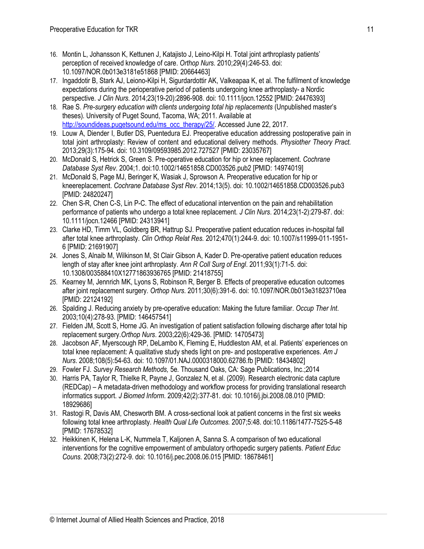- 16. Montin L, Johansson K, Kettunen J, Katajisto J, Leino-Kilpi H. Total joint arthroplasty patients' perception of received knowledge of care. *Orthop Nurs.* 2010;*29*(4):246-53. doi: 10.1097/NOR.0b013e3181e51868 [PMID: 20664463]
- 17. Ingaddotir B, Stark AJ, Leiono-Kilpi H, Sigurdardottir AK, Valkeapaa K, et al. The fulfilment of knowledge expectations during the perioperative period of patients undergoing knee arthroplasty- a Nordic perspective. *J Clin Nurs.* 2014;23(19-20):2896-908. doi: 10.1111/jocn.12552 [PMID: 24476393]
- 18. Rae S. *Pre-surgery education with clients undergoing total hip replacements* (Unpublished master's theses)*.* University of Puget Sound, Tacoma, WA; 2011. Available at [http://soundideas.pugetsound.edu/ms\\_occ\\_therapy/25/. A](http://soundideas.pugetsound.edu/ms_occ_therapy/25/)ccessed June 22, 2017.
- 19. Louw A, Diender I, Butler DS, Puentedura EJ. Preoperative education addressing postoperative pain in total joint arthroplasty: Review of content and educational delivery methods. *Physiother Theory Pract.*  2013;29(3):175-94. doi: 10.3109/09593985.2012.727527 [PMID: 23035767]
- 20. McDonald S, Hetrick S, Green S. Pre-operative education for hip or knee replacement. *Cochrane Database Syst Rev*. 2004;1. doi:10.1002/14651858.CD003526.pub2 [PMID: 14974019]
- 21. McDonald S, Page MJ, Beringer K, Wasiak J, Sprowson A. Preoperative education for hip or kneereplacement. *Cochrane Database Syst Rev*. 2014;13(5). doi: 10.1002/14651858.CD003526.pub3 [PMID: 24820247]
- 22. Chen S-R, Chen C-S, Lin P-C. The effect of educational intervention on the pain and rehabilitation performance of patients who undergo a total knee replacement. *J Clin Nurs*. 2014;23(1-2):279-87. doi: 10.1111/jocn.12466 [PMID: 24313941]
- 23. Clarke HD, Timm VL, Goldberg BR, Hattrup SJ. Preoperative patient education reduces in-hospital fall after total knee arthroplasty. *Clin Orthop Relat Res.* 2012;470(1):244-9. doi: 10.1007/s11999-011-1951- 6 [PMID: 21691907]
- 24. Jones S, Alnaib M, Wilkinson M, St Clair Gibson A, Kader D. Pre-operative patient education reduces length of stay after knee joint arthroplasty. *Ann R Coll Surg of Engl*. 2011;93(1):71-5. doi: 10.1308/003588410X12771863936765 [PMID: 21418755]
- 25. Kearney M, Jennrich MK, Lyons S, Robinson R, Berger B. Effects of preoperative education outcomes after joint replacement surgery. *Orthop Nurs*. 2011;30(6):391-6. doi: 10.1097/NOR.0b013e31823710ea [PMID: 22124192]
- 26. Spalding J. Reducing anxiety by pre-operative education: Making the future familiar. *Occup Ther Int*. 2003;10(4):278-93. [PMID: 146457541]
- 27. Fielden JM, Scott S, Horne JG. An investigation of patient satisfaction following discharge after total hip replacement surgery.*Orthop Nurs*. 2003;22(6):429-36. [PMID: 14705473]
- 28. Jacobson AF, Myerscough RP, DeLambo K, Fleming E, Huddleston AM, et al. Patients' experiences on total knee replacement: A qualitative study sheds light on pre- and postoperative experiences. *Am J Nurs*. 2008;108(5):54-63. doi: 10.1097/01.NAJ.0000318000.62786.fb [PMID: 18434802]
- 29. Fowler FJ. *Survey Research Methods,* 5e*.* Thousand Oaks, CA: Sage Publications, Inc.;2014
- 30. Harris PA, Taylor R, Thielke R, Payne J, Gonzalez N, et al. (2009). Research electronic data capture (REDCap) – A metadata-driven methodology and workflow process for providing translational research informatics support. *J Biomed Inform*. 2009;42(2):377-81. doi: 10.1016/j.jbi.2008.08.010 [PMID: 18929686]
- 31. Rastogi R, Davis AM, Chesworth BM. A cross-sectional look at patient concerns in the first six weeks following total knee arthroplasty. *Health Qual Life Outcomes.* 2007;5:48. d[oi:10.1186/1477-7525-5-48](http://dx.doi.org/10.1186%2F1477-7525-5-48)  [PMID: 17678532]
- 32. Heikkinen K, Helena L-K, Nummela T, Kaljonen A, Sanna S. A comparison of two educational interventions for the cognitive empowerment of ambulatory orthopedic surgery patients. *Patient Educ Couns.* 2008;73(2):272-9. doi: 10.1016/j.pec.2008.06.015 [PMID: 18678461]